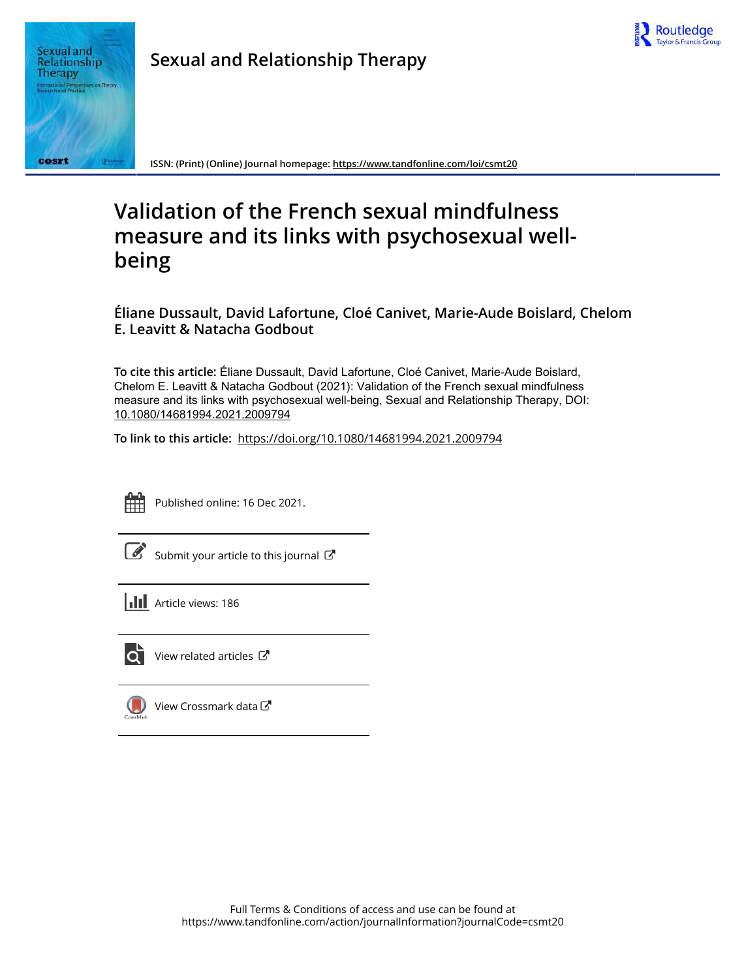



**Sexual and Relationship Therapy**

**ISSN: (Print) (Online) Journal homepage:<https://www.tandfonline.com/loi/csmt20>**

# **Validation of the French sexual mindfulness measure and its links with psychosexual wellbeing**

**Éliane Dussault, David Lafortune, Cloé Canivet, Marie-Aude Boislard, Chelom E. Leavitt & Natacha Godbout**

**To cite this article:** Éliane Dussault, David Lafortune, Cloé Canivet, Marie-Aude Boislard, Chelom E. Leavitt & Natacha Godbout (2021): Validation of the French sexual mindfulness measure and its links with psychosexual well-being, Sexual and Relationship Therapy, DOI: [10.1080/14681994.2021.2009794](https://www.tandfonline.com/action/showCitFormats?doi=10.1080/14681994.2021.2009794)

**To link to this article:** <https://doi.org/10.1080/14681994.2021.2009794>



Published online: 16 Dec 2021.

[Submit your article to this journal](https://www.tandfonline.com/action/authorSubmission?journalCode=csmt20&show=instructions)  $\mathbb{Z}$ 

**Article views: 186** 



[View related articles](https://www.tandfonline.com/doi/mlt/10.1080/14681994.2021.2009794)  $\mathbb{Z}$ 



[View Crossmark data](http://crossmark.crossref.org/dialog/?doi=10.1080/14681994.2021.2009794&domain=pdf&date_stamp=2021-12-16)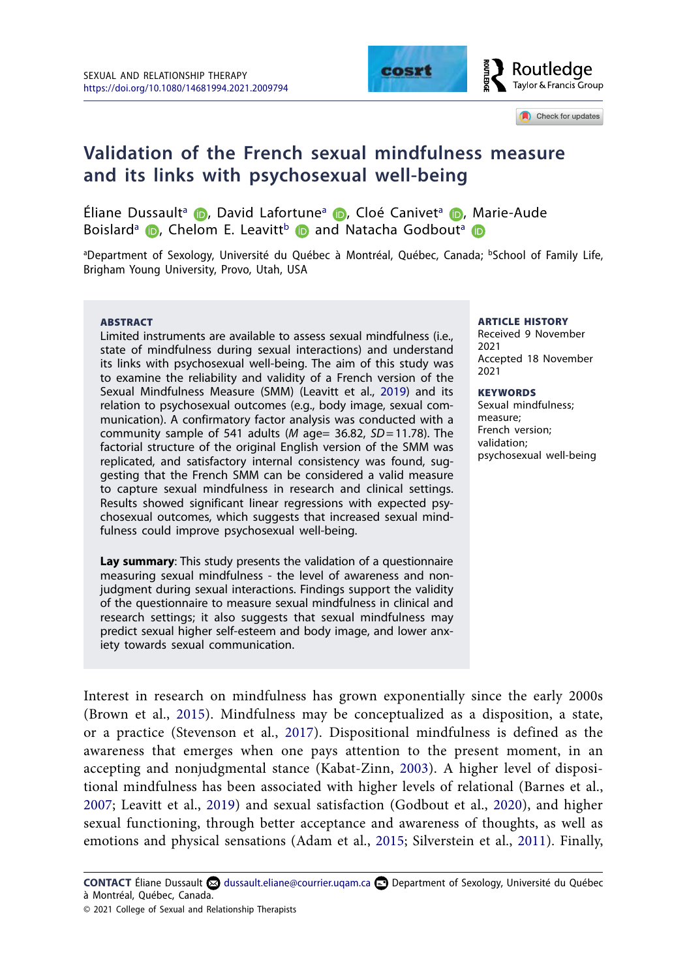

#### Check for updates

## **Validation of the French sexual mindfulness measure and its links with psychosexual well-being**

Éli[a](#page-1-0)ne Dussault<sup>a</sup> (D. David Lafortune<sup>a</sup> (D. Cloé Canivet<sup>a</sup> (D. Marie-Aude Boisl[a](#page-1-0)rd<sup>a</sup>**D**[,](http://orcid.org/0000-0003-3628-348X) Ch[elom](http://orcid.org/0000-0002-5230-4538) E. Leavitt<sup>[b](#page-1-1)</sup> **D** and Natacha Godbout<sup>a</sup> **D** 

<span id="page-1-1"></span><span id="page-1-0"></span><sup>a</sup>Department of Sexology, Université du Québec à Montréal, Québec, Canada; <sup>b</sup>School of Family Life, Brigham Young University, Provo, Utah, USA

#### **ABSTRACT**

<span id="page-1-7"></span>Limited instruments are available to assess sexual mindfulness (i.e., state of mindfulness during sexual interactions) and understand its links with psychosexual well-being. The aim of this study was to examine the reliability and validity of a French version of the Sexual Mindfulness Measure (SMM) (Leavitt et al., [2019\)](#page-15-0) and its relation to psychosexual outcomes (e.g., body image, sexual communication). A confirmatory factor analysis was conducted with a community sample of 541 adults (*M* age= 36.82, *SD*=11.78). The factorial structure of the original English version of the SMM was replicated, and satisfactory internal consistency was found, suggesting that the French SMM can be considered a valid measure to capture sexual mindfulness in research and clinical settings. Results showed significant linear regressions with expected psychosexual outcomes, which suggests that increased sexual mindfulness could improve psychosexual well-being.

**Lay summary**: This study presents the validation of a questionnaire measuring sexual mindfulness - the level of awareness and nonjudgment during sexual interactions. Findings support the validity of the questionnaire to measure sexual mindfulness in clinical and research settings; it also suggests that sexual mindfulness may predict sexual higher self-esteem and body image, and lower anxiety towards sexual communication.

#### ARTICLE HISTORY

Received 9 November 2021 Accepted 18 November  $2021$ 

#### **KEYWORDS**

<span id="page-1-8"></span>Sexual mindfulness; measure; French version; validation; psychosexual well-being

<span id="page-1-9"></span><span id="page-1-6"></span><span id="page-1-4"></span>Interest in research on mindfulness has grown exponentially since the early 2000s (Brown et al., [2015](#page-14-0)). Mindfulness may be conceptualized as a disposition, a state, or a practice (Stevenson et al., [2017](#page-16-0)). Dispositional mindfulness is defined as the awareness that emerges when one pays attention to the present moment, in an accepting and nonjudgmental stance (Kabat-Zinn, [2003\)](#page-14-1). A higher level of dispositional mindfulness has been associated with higher levels of relational (Barnes et al., [2007;](#page-13-0) Leavitt et al., [2019\)](#page-15-0) and sexual satisfaction (Godbout et al., [2020](#page-14-2)), and higher sexual functioning, through better acceptance and awareness of thoughts, as well as emotions and physical sensations (Adam et al., [2015](#page-13-1); Silverstein et al., [2011](#page-16-1)). Finally,

<span id="page-1-5"></span><span id="page-1-3"></span><span id="page-1-2"></span>CONTACT Éliane Dussault **۞** [dussault.eliane@courrier.uqam.ca](mailto:dussault.eliane@courrier.uqam.ca) **D** Department of Sexology, Université du Québec à Montréal, Québec, Canada.

<sup>© 2021</sup> College of Sexual and Relationship Therapists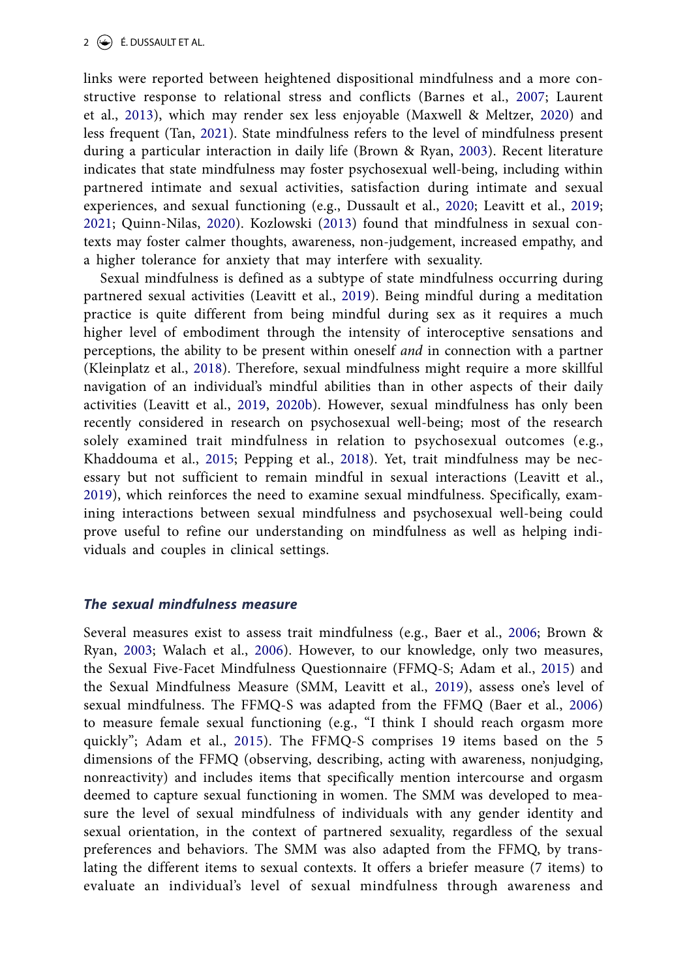<span id="page-2-12"></span><span id="page-2-9"></span><span id="page-2-6"></span><span id="page-2-1"></span>links were reported between heightened dispositional mindfulness and a more constructive response to relational stress and conflicts (Barnes et al., [2007;](#page-13-2) Laurent et al., [2013](#page-15-1)), which may render sex less enjoyable (Maxwell & Meltzer, [2020\)](#page-15-2) and less frequent (Tan, [2021](#page-16-2)). State mindfulness refers to the level of mindfulness present during a particular interaction in daily life (Brown & Ryan, [2003\)](#page-14-3). Recent literature indicates that state mindfulness may foster psychosexual well-being, including within partnered intimate and sexual activities, satisfaction during intimate and sexual experiences, and sexual functioning (e.g., Dussault et al., [2020;](#page-14-4) Leavitt et al., [2019;](#page-15-0) [2021;](#page-15-3) Quinn-Nilas, [2020](#page-15-4)). Kozlowski ([2013\)](#page-15-5) found that mindfulness in sexual contexts may foster calmer thoughts, awareness, non-judgement, increased empathy, and a higher tolerance for anxiety that may interfere with sexuality.

<span id="page-2-11"></span><span id="page-2-8"></span><span id="page-2-7"></span><span id="page-2-5"></span><span id="page-2-4"></span><span id="page-2-2"></span>Sexual mindfulness is defined as a subtype of state mindfulness occurring during partnered sexual activities (Leavitt et al., [2019](#page-15-0)). Being mindful during a meditation practice is quite different from being mindful during sex as it requires a much higher level of embodiment through the intensity of interoceptive sensations and perceptions, the ability to be present within oneself *and* in connection with a partner (Kleinplatz et al., [2018\)](#page-15-6). Therefore, sexual mindfulness might require a more skillful navigation of an individual's mindful abilities than in other aspects of their daily activities (Leavitt et al., [2019](#page-15-0), [2020b](#page-15-7)). However, sexual mindfulness has only been recently considered in research on psychosexual well-being; most of the research solely examined trait mindfulness in relation to psychosexual outcomes (e.g., Khaddouma et al., [2015](#page-15-8); Pepping et al., [2018](#page-15-9)). Yet, trait mindfulness may be necessary but not sufficient to remain mindful in sexual interactions (Leavitt et al., [2019\)](#page-15-0), which reinforces the need to examine sexual mindfulness. Specifically, examining interactions between sexual mindfulness and psychosexual well-being could prove useful to refine our understanding on mindfulness as well as helping individuals and couples in clinical settings.

#### <span id="page-2-10"></span><span id="page-2-3"></span>*The sexual mindfulness measure*

<span id="page-2-13"></span><span id="page-2-0"></span>Several measures exist to assess trait mindfulness (e.g., Baer et al., [2006;](#page-13-3) Brown & Ryan, [2003;](#page-14-3) Walach et al., [2006\)](#page-16-3). However, to our knowledge, only two measures, the Sexual Five-Facet Mindfulness Questionnaire (FFMQ-S; Adam et al., [2015](#page-13-1)) and the Sexual Mindfulness Measure (SMM, Leavitt et al., [2019](#page-15-0)), assess one's level of sexual mindfulness. The FFMQ-S was adapted from the FFMQ (Baer et al., [2006\)](#page-13-3) to measure female sexual functioning (e.g., "I think I should reach orgasm more quickly"; Adam et al., [2015](#page-13-1)). The FFMQ-S comprises 19 items based on the 5 dimensions of the FFMQ (observing, describing, acting with awareness, nonjudging, nonreactivity) and includes items that specifically mention intercourse and orgasm deemed to capture sexual functioning in women. The SMM was developed to measure the level of sexual mindfulness of individuals with any gender identity and sexual orientation, in the context of partnered sexuality, regardless of the sexual preferences and behaviors. The SMM was also adapted from the FFMQ, by translating the different items to sexual contexts. It offers a briefer measure (7 items) to evaluate an individual's level of sexual mindfulness through awareness and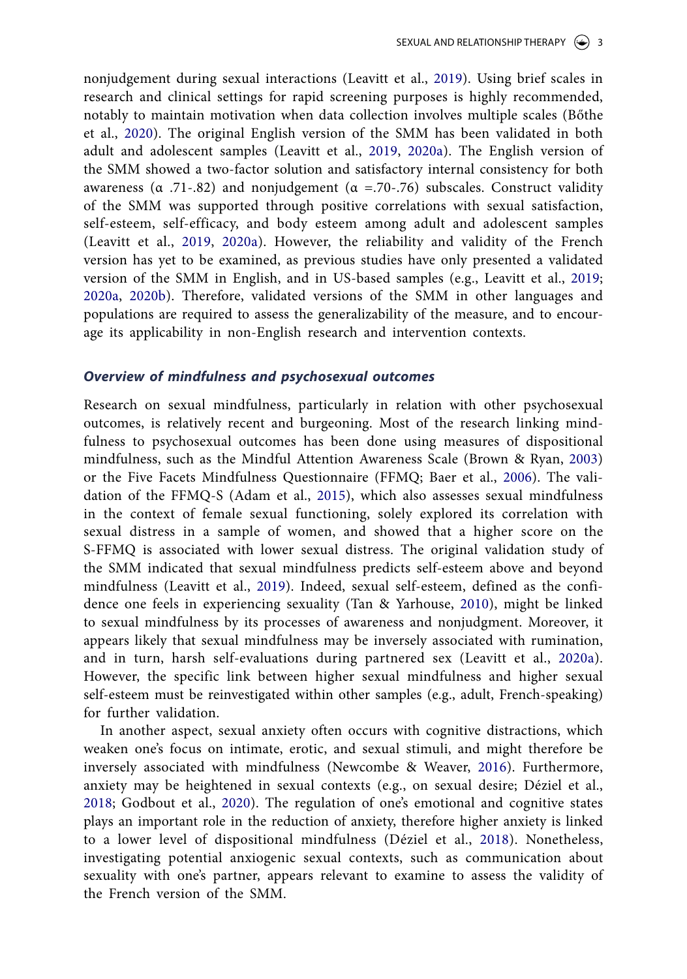<span id="page-3-2"></span><span id="page-3-0"></span>nonjudgement during sexual interactions (Leavitt et al., [2019](#page-15-0)). Using brief scales in research and clinical settings for rapid screening purposes is highly recommended, notably to maintain motivation when data collection involves multiple scales (Bőthe et al., [2020\)](#page-14-5). The original English version of the SMM has been validated in both adult and adolescent samples (Leavitt et al., [2019,](#page-15-0) [2020a](#page-15-10)). The English version of the SMM showed a two-factor solution and satisfactory internal consistency for both awareness (α .71-.82) and nonjudgement ( $α$  =.70-.76) subscales. Construct validity of the SMM was supported through positive correlations with sexual satisfaction, self-esteem, self-efficacy, and body esteem among adult and adolescent samples (Leavitt et al., [2019,](#page-15-0) [2020a](#page-15-10)). However, the reliability and validity of the French version has yet to be examined, as previous studies have only presented a validated version of the SMM in English, and in US-based samples (e.g., Leavitt et al., [2019;](#page-15-0) [2020a](#page-15-10), [2020b](#page-15-11)). Therefore, validated versions of the SMM in other languages and populations are required to assess the generalizability of the measure, and to encourage its applicability in non-English research and intervention contexts.

#### *Overview of mindfulness and psychosexual outcomes*

Research on sexual mindfulness, particularly in relation with other psychosexual outcomes, is relatively recent and burgeoning. Most of the research linking mindfulness to psychosexual outcomes has been done using measures of dispositional mindfulness, such as the Mindful Attention Awareness Scale (Brown & Ryan, [2003\)](#page-14-6) or the Five Facets Mindfulness Questionnaire (FFMQ; Baer et al., [2006](#page-13-4)). The validation of the FFMQ-S (Adam et al., [2015](#page-13-5)), which also assesses sexual mindfulness in the context of female sexual functioning, solely explored its correlation with sexual distress in a sample of women, and showed that a higher score on the S-FFMQ is associated with lower sexual distress. The original validation study of the SMM indicated that sexual mindfulness predicts self-esteem above and beyond mindfulness (Leavitt et al., [2019](#page-15-0)). Indeed, sexual self-esteem, defined as the confidence one feels in experiencing sexuality (Tan & Yarhouse, [2010](#page-16-4)), might be linked to sexual mindfulness by its processes of awareness and nonjudgment. Moreover, it appears likely that sexual mindfulness may be inversely associated with rumination, and in turn, harsh self-evaluations during partnered sex (Leavitt et al., [2020a\)](#page-15-10). However, the specific link between higher sexual mindfulness and higher sexual self-esteem must be reinvestigated within other samples (e.g., adult, French-speaking) for further validation.

<span id="page-3-4"></span><span id="page-3-3"></span><span id="page-3-1"></span>In another aspect, sexual anxiety often occurs with cognitive distractions, which weaken one's focus on intimate, erotic, and sexual stimuli, and might therefore be inversely associated with mindfulness (Newcombe & Weaver, [2016\)](#page-15-12). Furthermore, anxiety may be heightened in sexual contexts (e.g., on sexual desire; Déziel et al., [2018;](#page-14-7) Godbout et al., [2020\)](#page-14-8). The regulation of one's emotional and cognitive states plays an important role in the reduction of anxiety, therefore higher anxiety is linked to a lower level of dispositional mindfulness (Déziel et al., [2018\)](#page-14-9). Nonetheless, investigating potential anxiogenic sexual contexts, such as communication about sexuality with one's partner, appears relevant to examine to assess the validity of the French version of the SMM.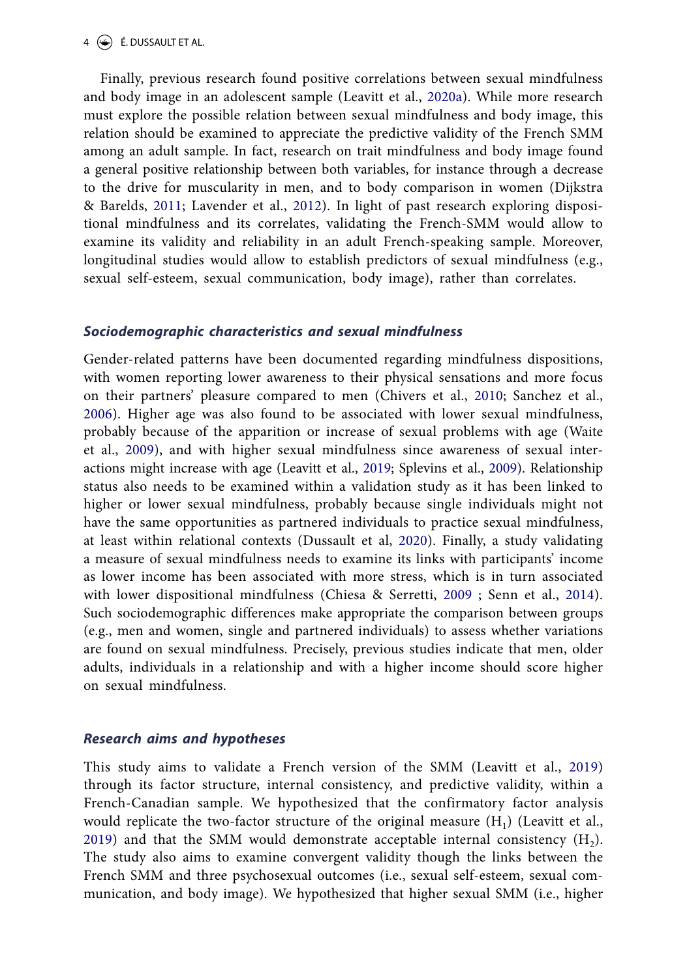#### 4  $\left(\frac{1}{2}\right)$  É. DUSSAULT ET AL.

<span id="page-4-3"></span><span id="page-4-2"></span>Finally, previous research found positive correlations between sexual mindfulness and body image in an adolescent sample (Leavitt et al., [2020a](#page-15-10)). While more research must explore the possible relation between sexual mindfulness and body image, this relation should be examined to appreciate the predictive validity of the French SMM among an adult sample. In fact, research on trait mindfulness and body image found a general positive relationship between both variables, for instance through a decrease to the drive for muscularity in men, and to body comparison in women (Dijkstra & Barelds, [2011;](#page-14-10) Lavender et al., [2012](#page-15-13)). In light of past research exploring dispositional mindfulness and its correlates, validating the French-SMM would allow to examine its validity and reliability in an adult French-speaking sample. Moreover, longitudinal studies would allow to establish predictors of sexual mindfulness (e.g., sexual self-esteem, sexual communication, body image), rather than correlates.

#### *Sociodemographic characteristics and sexual mindfulness*

<span id="page-4-7"></span><span id="page-4-6"></span><span id="page-4-4"></span><span id="page-4-1"></span>Gender-related patterns have been documented regarding mindfulness dispositions, with women reporting lower awareness to their physical sensations and more focus on their partners' pleasure compared to men (Chivers et al., [2010](#page-14-11); Sanchez et al., [2006\)](#page-15-14). Higher age was also found to be associated with lower sexual mindfulness, probably because of the apparition or increase of sexual problems with age (Waite et al., [2009\)](#page-16-5), and with higher sexual mindfulness since awareness of sexual interactions might increase with age (Leavitt et al., [2019;](#page-15-0) Splevins et al., [2009](#page-16-6)). Relationship status also needs to be examined within a validation study as it has been linked to higher or lower sexual mindfulness, probably because single individuals might not have the same opportunities as partnered individuals to practice sexual mindfulness, at least within relational contexts (Dussault et al, [2020](#page-14-4)). Finally, a study validating a measure of sexual mindfulness needs to examine its links with participants' income as lower income has been associated with more stress, which is in turn associated with lower dispositional mindfulness (Chiesa & Serretti, [2009](#page-14-12) ; Senn et al., [2014\)](#page-16-7). Such sociodemographic differences make appropriate the comparison between groups (e.g., men and women, single and partnered individuals) to assess whether variations are found on sexual mindfulness. Precisely, previous studies indicate that men, older adults, individuals in a relationship and with a higher income should score higher on sexual mindfulness.

#### <span id="page-4-5"></span><span id="page-4-0"></span>*Research aims and hypotheses*

This study aims to validate a French version of the SMM (Leavitt et al., [2019\)](#page-15-0) through its factor structure, internal consistency, and predictive validity, within a French-Canadian sample. We hypothesized that the confirmatory factor analysis would replicate the two-factor structure of the original measure  $(H_1)$  (Leavitt et al., [2019\)](#page-15-0) and that the SMM would demonstrate acceptable internal consistency  $(H<sub>2</sub>)$ . The study also aims to examine convergent validity though the links between the French SMM and three psychosexual outcomes (i.e., sexual self-esteem, sexual communication, and body image). We hypothesized that higher sexual SMM (i.e., higher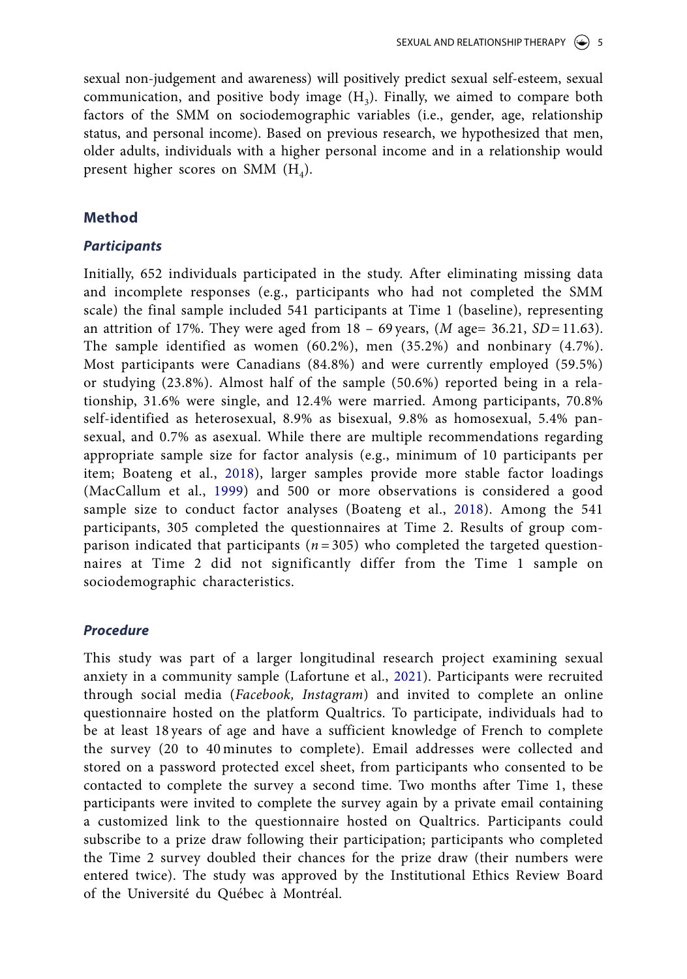sexual non-judgement and awareness) will positively predict sexual self-esteem, sexual communication, and positive body image  $(H_3)$ . Finally, we aimed to compare both factors of the SMM on sociodemographic variables (i.e., gender, age, relationship status, and personal income). Based on previous research, we hypothesized that men, older adults, individuals with a higher personal income and in a relationship would present higher scores on SMM  $(H_4)$ .

#### **Method**

## *Participants*

Initially, 652 individuals participated in the study. After eliminating missing data and incomplete responses (e.g., participants who had not completed the SMM scale) the final sample included 541 participants at Time 1 (baseline), representing an attrition of 17%. They were aged from  $18 - 69$  years,  $(M \text{ age} = 36.21, SD = 11.63)$ . The sample identified as women (60.2%), men (35.2%) and nonbinary (4.7%). Most participants were Canadians (84.8%) and were currently employed (59.5%) or studying (23.8%). Almost half of the sample (50.6%) reported being in a relationship, 31.6% were single, and 12.4% were married. Among participants, 70.8% self-identified as heterosexual, 8.9% as bisexual, 9.8% as homosexual, 5.4% pansexual, and 0.7% as asexual. While there are multiple recommendations regarding appropriate sample size for factor analysis (e.g., minimum of 10 participants per item; Boateng et al., [2018\)](#page-14-13), larger samples provide more stable factor loadings (MacCallum et al., [1999\)](#page-15-15) and 500 or more observations is considered a good sample size to conduct factor analyses (Boateng et al., [2018\)](#page-14-13). Among the 541 participants, 305 completed the questionnaires at Time 2. Results of group comparison indicated that participants  $(n = 305)$  who completed the targeted questionnaires at Time 2 did not significantly differ from the Time 1 sample on sociodemographic characteristics.

## <span id="page-5-2"></span><span id="page-5-0"></span>*Procedure*

<span id="page-5-1"></span>This study was part of a larger longitudinal research project examining sexual anxiety in a community sample (Lafortune et al., [2021\)](#page-15-16). Participants were recruited through social media (*Facebook, Instagram*) and invited to complete an online questionnaire hosted on the platform Qualtrics. To participate, individuals had to be at least 18 years of age and have a sufficient knowledge of French to complete the survey (20 to 40 minutes to complete). Email addresses were collected and stored on a password protected excel sheet, from participants who consented to be contacted to complete the survey a second time. Two months after Time 1, these participants were invited to complete the survey again by a private email containing a customized link to the questionnaire hosted on Qualtrics. Participants could subscribe to a prize draw following their participation; participants who completed the Time 2 survey doubled their chances for the prize draw (their numbers were entered twice). The study was approved by the Institutional Ethics Review Board of the Université du Québec à Montréal.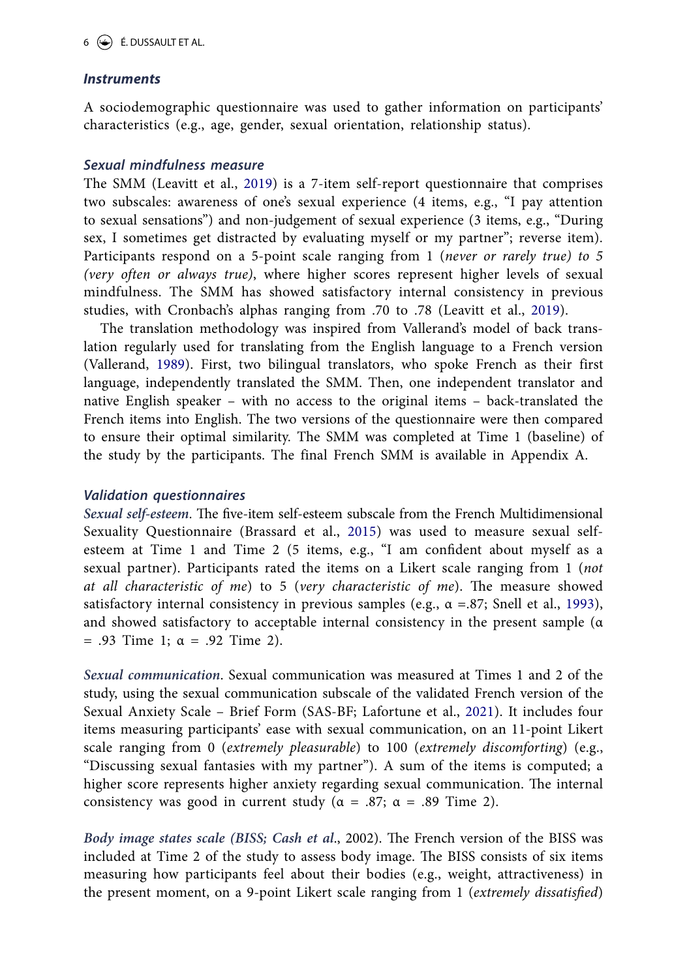#### *Instruments*

A sociodemographic questionnaire was used to gather information on participants' characteristics (e.g., age, gender, sexual orientation, relationship status).

#### *Sexual mindfulness measure*

The SMM (Leavitt et al., [2019\)](#page-15-0) is a 7-item self-report questionnaire that comprises two subscales: awareness of one's sexual experience (4 items, e.g., "I pay attention to sexual sensations") and non-judgement of sexual experience (3 items, e.g., "During sex, I sometimes get distracted by evaluating myself or my partner"; reverse item). Participants respond on a 5-point scale ranging from 1 (*never or rarely true) to 5 (very often or always true)*, where higher scores represent higher levels of sexual mindfulness. The SMM has showed satisfactory internal consistency in previous studies, with Cronbach's alphas ranging from .70 to .78 (Leavitt et al., [2019](#page-15-0)).

<span id="page-6-2"></span>The translation methodology was inspired from Vallerand's model of back translation regularly used for translating from the English language to a French version (Vallerand, [1989\)](#page-16-8). First, two bilingual translators, who spoke French as their first language, independently translated the SMM. Then, one independent translator and native English speaker – with no access to the original items – back-translated the French items into English. The two versions of the questionnaire were then compared to ensure their optimal similarity. The SMM was completed at Time 1 (baseline) of the study by the participants. The final French SMM is available in Appendix A.

#### *Validation questionnaires*

<span id="page-6-0"></span>*Sexual self-esteem*. The five-item self-esteem subscale from the French Multidimensional Sexuality Questionnaire (Brassard et al., [2015](#page-14-14)) was used to measure sexual selfesteem at Time 1 and Time 2 (5 items, e.g., "I am confident about myself as a sexual partner). Participants rated the items on a Likert scale ranging from 1 (*not at all characteristic of me*) to 5 (*very characteristic of me*). The measure showed satisfactory internal consistency in previous samples (e.g.,  $\alpha = .87$ ; Snell et al., [1993](#page-16-9)), and showed satisfactory to acceptable internal consistency in the present sample (α  $= .93$  Time 1; α = .92 Time 2).

<span id="page-6-1"></span>*Sexual communication*. Sexual communication was measured at Times 1 and 2 of the study, using the sexual communication subscale of the validated French version of the Sexual Anxiety Scale – Brief Form (SAS-BF; Lafortune et al., [2021](#page-15-16)). It includes four items measuring participants' ease with sexual communication, on an 11-point Likert scale ranging from 0 (*extremely pleasurable*) to 100 (*extremely discomforting*) (e.g., "Discussing sexual fantasies with my partner"). A sum of the items is computed; a higher score represents higher anxiety regarding sexual communication. The internal consistency was good in current study ( $\alpha = .87$ ;  $\alpha = .89$  Time 2).

*Body image states scale (BISS; Cash et al*., 2002). The French version of the BISS was included at Time 2 of the study to assess body image. The BISS consists of six items measuring how participants feel about their bodies (e.g., weight, attractiveness) in the present moment, on a 9-point Likert scale ranging from 1 (*extremely dissatisfied*)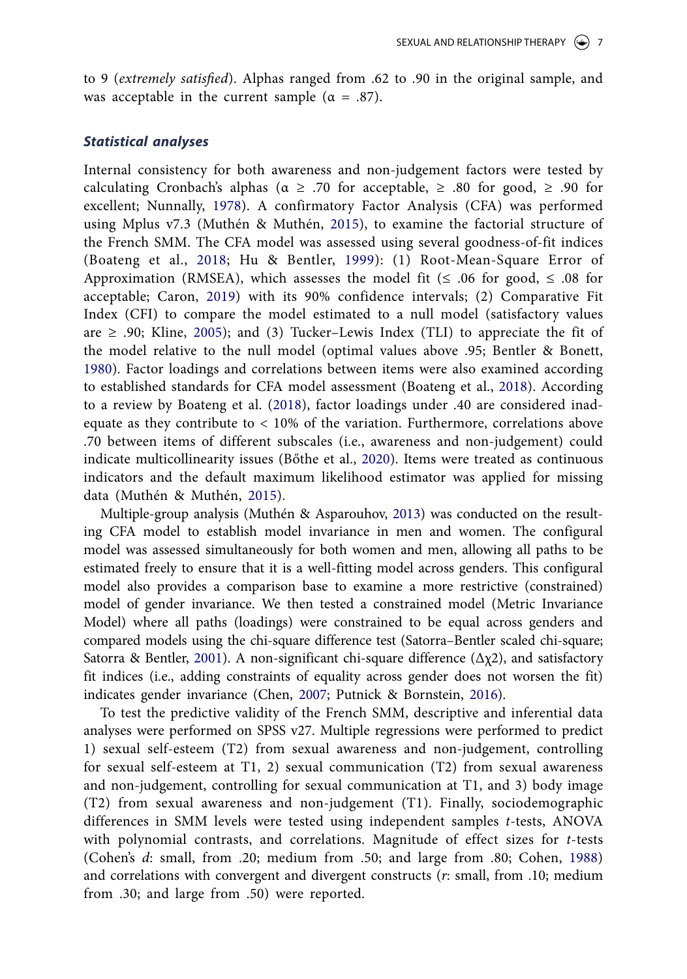to 9 (*extremely satisfied*). Alphas ranged from .62 to .90 in the original sample, and was acceptable in the current sample ( $\alpha = .87$ ).

#### *Statistical analyses*

<span id="page-7-8"></span><span id="page-7-7"></span><span id="page-7-5"></span><span id="page-7-4"></span><span id="page-7-2"></span>Internal consistency for both awareness and non-judgement factors were tested by calculating Cronbach's alphas ( $\alpha \geq .70$  for acceptable,  $\geq .80$  for good,  $\geq .90$  for excellent; Nunnally, [1978](#page-15-17)). A confirmatory Factor Analysis (CFA) was performed using Mplus v7.3 (Muthén & Muthén, [2015\)](#page-15-18), to examine the factorial structure of the French SMM. The CFA model was assessed using several goodness-of-fit indices (Boateng et al., [2018;](#page-14-13) Hu & Bentler, [1999](#page-14-15)): (1) Root-Mean-Square Error of Approximation (RMSEA), which assesses the model fit ( $\leq$  .06 for good,  $\leq$  .08 for acceptable; Caron, [2019](#page-14-16)) with its 90% confidence intervals; (2) Comparative Fit Index (CFI) to compare the model estimated to a null model (satisfactory values are  $\geq$  .90; Kline, [2005\)](#page-15-19); and (3) Tucker–Lewis Index (TLI) to appreciate the fit of the model relative to the null model (optimal values above .95; Bentler & Bonett, [1980\)](#page-13-6). Factor loadings and correlations between items were also examined according to established standards for CFA model assessment (Boateng et al., [2018\)](#page-14-13). According to a review by Boateng et al. ([2018\)](#page-14-17), factor loadings under .40 are considered inadequate as they contribute to < 10% of the variation. Furthermore, correlations above .70 between items of different subscales (i.e., awareness and non-judgement) could indicate multicollinearity issues (Bőthe et al., [2020](#page-14-18)). Items were treated as continuous indicators and the default maximum likelihood estimator was applied for missing data (Muthén & Muthén, [2015\)](#page-15-20).

<span id="page-7-6"></span><span id="page-7-0"></span>Multiple-group analysis (Muthén & Asparouhov, [2013](#page-15-21)) was conducted on the resulting CFA model to establish model invariance in men and women. The configural model was assessed simultaneously for both women and men, allowing all paths to be estimated freely to ensure that it is a well-fitting model across genders. This configural model also provides a comparison base to examine a more restrictive (constrained) model of gender invariance. We then tested a constrained model (Metric Invariance Model) where all paths (loadings) were constrained to be equal across genders and compared models using the chi-square difference test (Satorra–Bentler scaled chi-square; Satorra & Bentler, [2001\)](#page-16-10). A non-significant chi-square difference  $(\Delta \chi^2)$ , and satisfactory fit indices (i.e., adding constraints of equality across gender does not worsen the fit) indicates gender invariance (Chen, [2007;](#page-14-19) Putnick & Bornstein, [2016\)](#page-15-22).

<span id="page-7-10"></span><span id="page-7-9"></span><span id="page-7-3"></span><span id="page-7-1"></span>To test the predictive validity of the French SMM, descriptive and inferential data analyses were performed on SPSS v27. Multiple regressions were performed to predict 1) sexual self-esteem (T2) from sexual awareness and non-judgement, controlling for sexual self-esteem at T1, 2) sexual communication (T2) from sexual awareness and non-judgement, controlling for sexual communication at T1, and 3) body image (T2) from sexual awareness and non-judgement (T1). Finally, sociodemographic differences in SMM levels were tested using independent samples *t*-tests, ANOVA with polynomial contrasts, and correlations. Magnitude of effect sizes for *t*-tests (Cohen's *d*: small, from .20; medium from .50; and large from .80; Cohen, [1988\)](#page-14-20) and correlations with convergent and divergent constructs (*r*: small, from .10; medium from .30; and large from .50) were reported.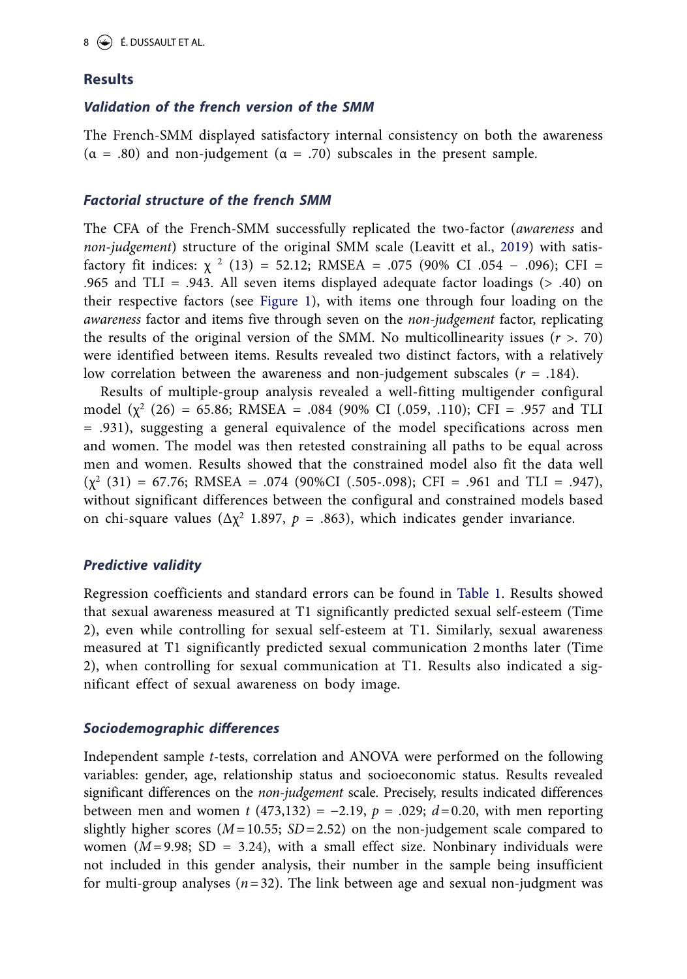#### **Results**

#### *Validation of the french version of the SMM*

The French-SMM displayed satisfactory internal consistency on both the awareness  $(α = .80)$  and non-judgement  $(α = .70)$  subscales in the present sample.

#### *Factorial structure of the french SMM*

The CFA of the French-SMM successfully replicated the two-factor (*awareness* and *non-judgement*) structure of the original SMM scale (Leavitt et al., [2019\)](#page-15-0) with satisfactory fit indices:  $\chi^2$  (13) = 52.12; RMSEA = .075 (90% CI .054 – .096); CFI = .965 and TLI = .943. All seven items displayed adequate factor loadings (> .40) on their respective factors (see [Figure 1\)](#page-9-0), with items one through four loading on the *awareness* factor and items five through seven on the *non-judgement* factor, replicating the results of the original version of the SMM. No multicollinearity issues (*r* >. 70) were identified between items. Results revealed two distinct factors, with a relatively low correlation between the awareness and non-judgement subscales (*r* = .184).

Results of multiple-group analysis revealed a well-fitting multigender configural model  $(\chi^2$  (26) = 65.86; RMSEA = .084 (90% CI (.059, .110); CFI = .957 and TLI = .931), suggesting a general equivalence of the model specifications across men and women. The model was then retested constraining all paths to be equal across men and women. Results showed that the constrained model also fit the data well  $(\chi^2 (31) = 67.76$ ; RMSEA = .074 (90%CI (.505-.098); CFI = .961 and TLI = .947), without significant differences between the configural and constrained models based on chi-square values ( $\Delta \chi^2$  1.897,  $p = .863$ ), which indicates gender invariance.

#### *Predictive validity*

Regression coefficients and standard errors can be found in [Table 1](#page-10-0). Results showed that sexual awareness measured at T1 significantly predicted sexual self-esteem (Time 2), even while controlling for sexual self-esteem at T1. Similarly, sexual awareness measured at T1 significantly predicted sexual communication 2 months later (Time 2), when controlling for sexual communication at T1. Results also indicated a significant effect of sexual awareness on body image.

#### *Sociodemographic differences*

Independent sample *t*-tests, correlation and ANOVA were performed on the following variables: gender, age, relationship status and socioeconomic status. Results revealed significant differences on the *non-judgement* scale. Precisely, results indicated differences between men and women *t* (473,132) = −2.19, *p* = .029; *d*=0.20, with men reporting slightly higher scores  $(M=10.55; SD=2.52)$  on the non-judgement scale compared to women  $(M=9.98; SD = 3.24)$ , with a small effect size. Nonbinary individuals were not included in this gender analysis, their number in the sample being insufficient for multi-group analyses  $(n=32)$ . The link between age and sexual non-judgment was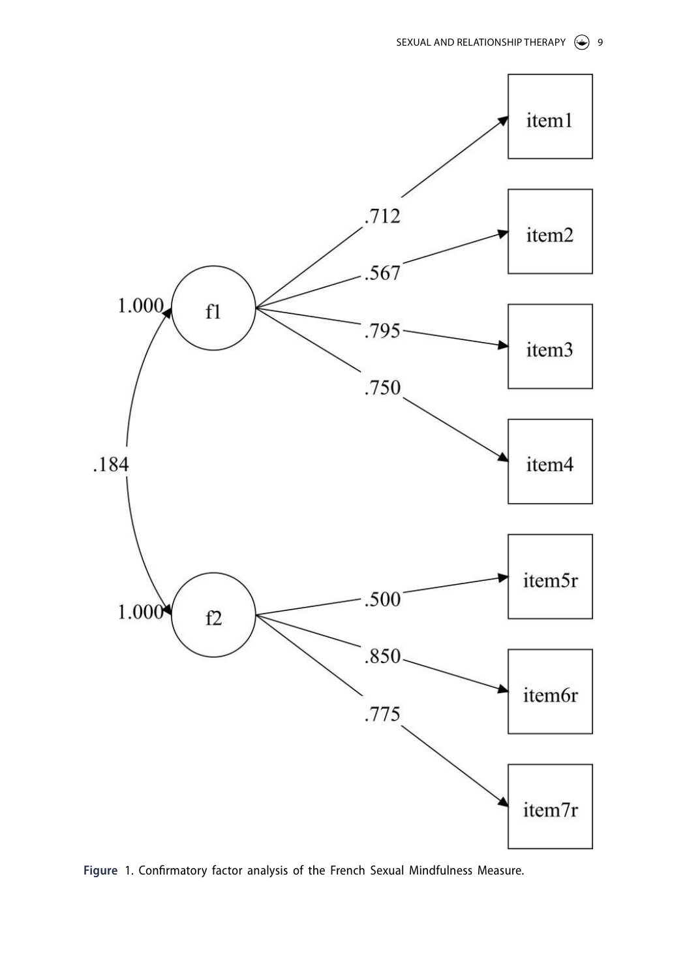

<span id="page-9-0"></span>**Figure** 1. Confirmatory factor analysis of the French Sexual Mindfulness Measure.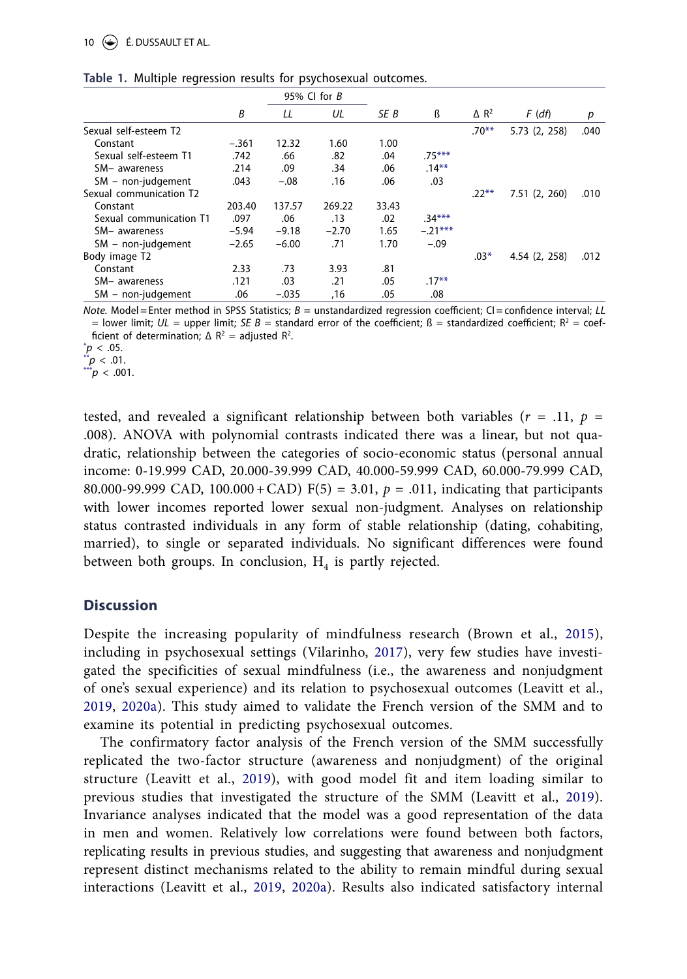#### 10  $\left(\rightarrow\right)$  **É.** DUSSAULT ET AL.

<span id="page-10-6"></span>

|                         | 95% CI for $B$ |         |         |       |           |                         |               |      |
|-------------------------|----------------|---------|---------|-------|-----------|-------------------------|---------------|------|
|                         | B              | LL      | UL      | SE B  | ß         | $\Delta$ R <sup>2</sup> | $F$ (df)      | р    |
| Sexual self-esteem T2   |                |         |         |       |           | $.70***$                | 5.73 (2, 258) | .040 |
| Constant                | $-.361$        | 12.32   | 1.60    | 1.00  |           |                         |               |      |
| Sexual self-esteem T1   | .742           | .66     | .82     | .04   | $.75***$  |                         |               |      |
| SM- awareness           | .214           | .09     | .34     | .06   | $.14***$  |                         |               |      |
| $SM - non-judgement$    | .043           | $-.08$  | .16     | .06   | .03       |                         |               |      |
| Sexual communication T2 |                |         |         |       |           | $.22***$                | 7.51(2, 260)  | .010 |
| Constant                | 203.40         | 137.57  | 269.22  | 33.43 |           |                         |               |      |
| Sexual communication T1 | .097           | .06     | .13     | .02   | $.34***$  |                         |               |      |
| SM- awareness           | $-5.94$        | $-9.18$ | $-2.70$ | 1.65  | $-.21***$ |                         |               |      |
| SM - non-judgement      | $-2.65$        | $-6.00$ | .71     | 1.70  | $-.09$    |                         |               |      |
| Body image T2           |                |         |         |       |           | $.03*$                  | 4.54 (2, 258) | .012 |
| Constant                | 2.33           | .73     | 3.93    | .81   |           |                         |               |      |
| SM- awareness           | .121           | .03     | .21     | .05   | $.17***$  |                         |               |      |
| $SM$ – non-judgement    | .06            | $-.035$ | ,16     | .05   | .08       |                         |               |      |

<span id="page-10-5"></span><span id="page-10-0"></span>**Table 1.** Multiple regression results for psychosexual outcomes.

<span id="page-10-4"></span>*Note.* Model= Enter method in SPSS Statistics; *B* = unstandardized regression coefficient; CI =confidence interval; *LL*  $=$  lower limit;  $UL =$  upper limit;  $SE$  B = standard error of the coefficient; ß = standardized coefficient; R<sup>2</sup> = coefficient of determination;  $\Delta R^2$  = adjusted  $R^2$ .

<span id="page-10-3"></span> $p < .05$ .

<span id="page-10-1"></span>[\\*\\*](#page-10-5)*p* < .01.

<span id="page-10-2"></span>[\\*\\*\\*](#page-10-6)*p* < .001.

tested, and revealed a significant relationship between both variables ( $r = .11$ ,  $p =$ .008). ANOVA with polynomial contrasts indicated there was a linear, but not quadratic, relationship between the categories of socio-economic status (personal annual income: 0-19.999 CAD, 20.000-39.999 CAD, 40.000-59.999 CAD, 60.000-79.999 CAD, 80.000-99.999 CAD, 100.000+CAD) F(5) = 3.01, *p* = .011, indicating that participants with lower incomes reported lower sexual non-judgment. Analyses on relationship status contrasted individuals in any form of stable relationship (dating, cohabiting, married), to single or separated individuals. No significant differences were found between both groups. In conclusion,  $H_4$  is partly rejected.

#### **Discussion**

<span id="page-10-7"></span>Despite the increasing popularity of mindfulness research (Brown et al., [2015](#page-14-21)), including in psychosexual settings (Vilarinho, [2017\)](#page-16-11), very few studies have investigated the specificities of sexual mindfulness (i.e., the awareness and nonjudgment of one's sexual experience) and its relation to psychosexual outcomes (Leavitt et al., [2019,](#page-15-0) [2020a\)](#page-15-10). This study aimed to validate the French version of the SMM and to examine its potential in predicting psychosexual outcomes.

The confirmatory factor analysis of the French version of the SMM successfully replicated the two-factor structure (awareness and nonjudgment) of the original structure (Leavitt et al., [2019\)](#page-15-0), with good model fit and item loading similar to previous studies that investigated the structure of the SMM (Leavitt et al., [2019\)](#page-15-0). Invariance analyses indicated that the model was a good representation of the data in men and women. Relatively low correlations were found between both factors, replicating results in previous studies, and suggesting that awareness and nonjudgment represent distinct mechanisms related to the ability to remain mindful during sexual interactions (Leavitt et al., [2019,](#page-15-0) [2020a\)](#page-15-10). Results also indicated satisfactory internal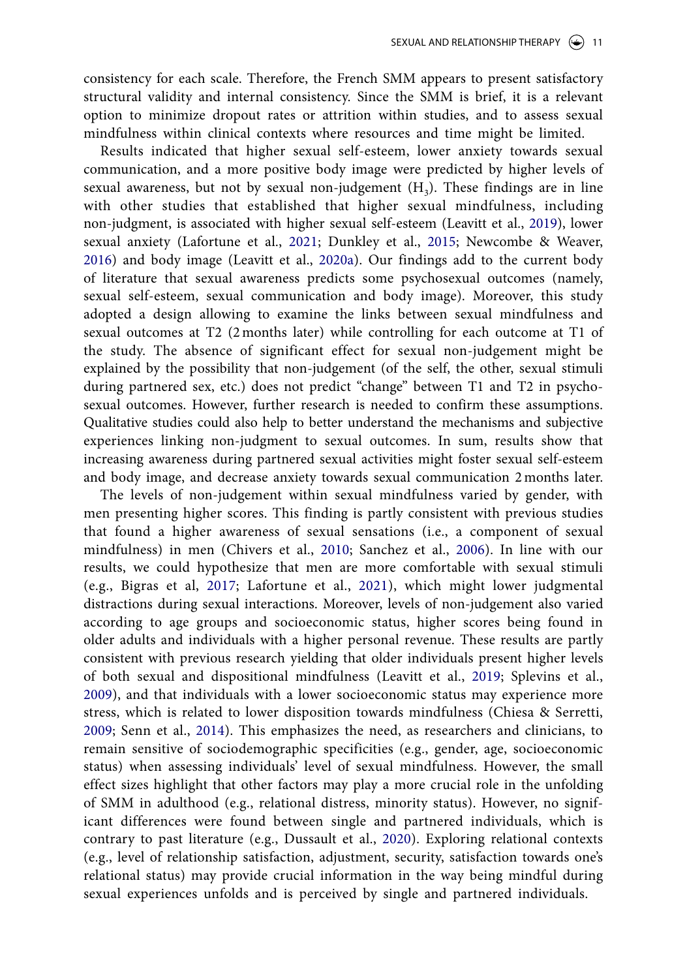consistency for each scale. Therefore, the French SMM appears to present satisfactory structural validity and internal consistency. Since the SMM is brief, it is a relevant option to minimize dropout rates or attrition within studies, and to assess sexual mindfulness within clinical contexts where resources and time might be limited.

<span id="page-11-1"></span>Results indicated that higher sexual self-esteem, lower anxiety towards sexual communication, and a more positive body image were predicted by higher levels of sexual awareness, but not by sexual non-judgement  $(H_3)$ . These findings are in line with other studies that established that higher sexual mindfulness, including non-judgment, is associated with higher sexual self-esteem (Leavitt et al., [2019](#page-15-0)), lower sexual anxiety (Lafortune et al., [2021](#page-15-16); Dunkley et al., [2015;](#page-14-22) Newcombe & Weaver, [2016](#page-15-23)) and body image (Leavitt et al., [2020a](#page-15-24)). Our findings add to the current body of literature that sexual awareness predicts some psychosexual outcomes (namely, sexual self-esteem, sexual communication and body image). Moreover, this study adopted a design allowing to examine the links between sexual mindfulness and sexual outcomes at T2 (2 months later) while controlling for each outcome at T1 of the study. The absence of significant effect for sexual non-judgement might be explained by the possibility that non-judgement (of the self, the other, sexual stimuli during partnered sex, etc.) does not predict "change" between T1 and T2 in psychosexual outcomes. However, further research is needed to confirm these assumptions. Qualitative studies could also help to better understand the mechanisms and subjective experiences linking non-judgment to sexual outcomes. In sum, results show that increasing awareness during partnered sexual activities might foster sexual self-esteem and body image, and decrease anxiety towards sexual communication 2 months later.

<span id="page-11-0"></span>The levels of non-judgement within sexual mindfulness varied by gender, with men presenting higher scores. This finding is partly consistent with previous studies that found a higher awareness of sexual sensations (i.e., a component of sexual mindfulness) in men (Chivers et al., [2010](#page-14-23); Sanchez et al., [2006](#page-15-25)). In line with our results, we could hypothesize that men are more comfortable with sexual stimuli (e.g., Bigras et al, [2017](#page-13-7); Lafortune et al., [2021\)](#page-15-26), which might lower judgmental distractions during sexual interactions. Moreover, levels of non-judgement also varied according to age groups and socioeconomic status, higher scores being found in older adults and individuals with a higher personal revenue. These results are partly consistent with previous research yielding that older individuals present higher levels of both sexual and dispositional mindfulness (Leavitt et al., [2019;](#page-15-0) Splevins et al., [2009\)](#page-16-12), and that individuals with a lower socioeconomic status may experience more stress, which is related to lower disposition towards mindfulness (Chiesa & Serretti, [2009;](#page-14-24) Senn et al., [2014](#page-16-13)). This emphasizes the need, as researchers and clinicians, to remain sensitive of sociodemographic specificities (e.g., gender, age, socioeconomic status) when assessing individuals' level of sexual mindfulness. However, the small effect sizes highlight that other factors may play a more crucial role in the unfolding of SMM in adulthood (e.g., relational distress, minority status). However, no significant differences were found between single and partnered individuals, which is contrary to past literature (e.g., Dussault et al., [2020](#page-14-4)). Exploring relational contexts (e.g., level of relationship satisfaction, adjustment, security, satisfaction towards one's relational status) may provide crucial information in the way being mindful during sexual experiences unfolds and is perceived by single and partnered individuals.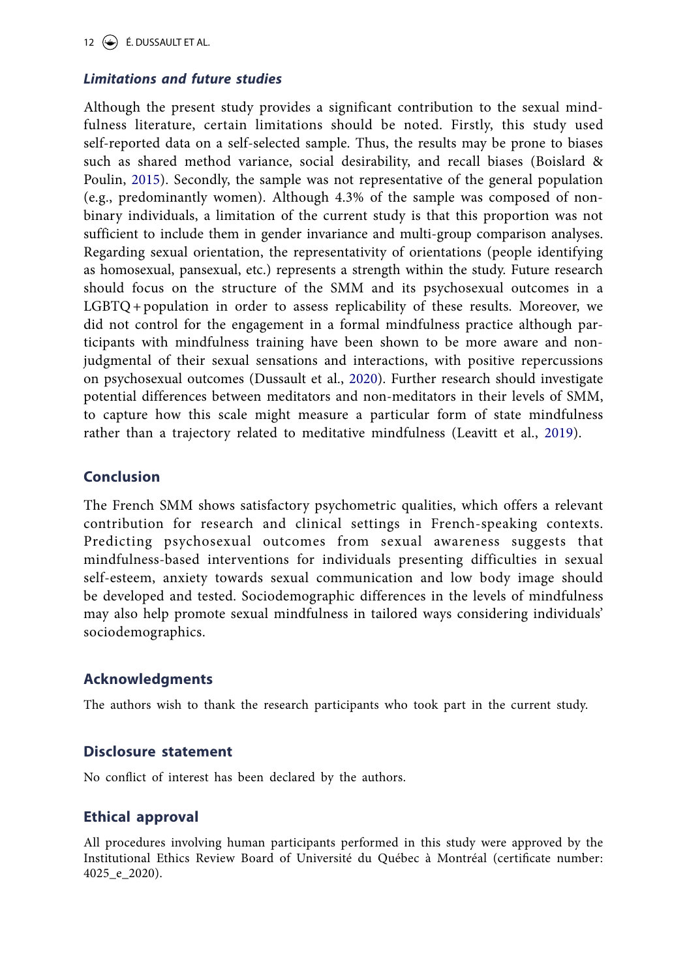12 É. DUSSAULT ET AL.

## *Limitations and future studies*

Although the present study provides a significant contribution to the sexual mindfulness literature, certain limitations should be noted. Firstly, this study used self-reported data on a self-selected sample. Thus, the results may be prone to biases such as shared method variance, social desirability, and recall biases (Boislard & Poulin, [2015](#page-14-25)). Secondly, the sample was not representative of the general population (e.g., predominantly women). Although 4.3% of the sample was composed of nonbinary individuals, a limitation of the current study is that this proportion was not sufficient to include them in gender invariance and multi-group comparison analyses. Regarding sexual orientation, the representativity of orientations (people identifying as homosexual, pansexual, etc.) represents a strength within the study. Future research should focus on the structure of the SMM and its psychosexual outcomes in a LGBTQ+ population in order to assess replicability of these results. Moreover, we did not control for the engagement in a formal mindfulness practice although participants with mindfulness training have been shown to be more aware and nonjudgmental of their sexual sensations and interactions, with positive repercussions on psychosexual outcomes (Dussault et al., [2020](#page-14-26)). Further research should investigate potential differences between meditators and non-meditators in their levels of SMM, to capture how this scale might measure a particular form of state mindfulness rather than a trajectory related to meditative mindfulness (Leavitt et al., [2019\)](#page-15-27).

## **Conclusion**

The French SMM shows satisfactory psychometric qualities, which offers a relevant contribution for research and clinical settings in French-speaking contexts. Predicting psychosexual outcomes from sexual awareness suggests that mindfulness-based interventions for individuals presenting difficulties in sexual self-esteem, anxiety towards sexual communication and low body image should be developed and tested. Sociodemographic differences in the levels of mindfulness may also help promote sexual mindfulness in tailored ways considering individuals' sociodemographics.

## **Acknowledgments**

The authors wish to thank the research participants who took part in the current study.

## **Disclosure statement**

No conflict of interest has been declared by the authors.

## **Ethical approval**

All procedures involving human participants performed in this study were approved by the Institutional Ethics Review Board of Université du Québec à Montréal (certificate number: 4025\_e\_2020).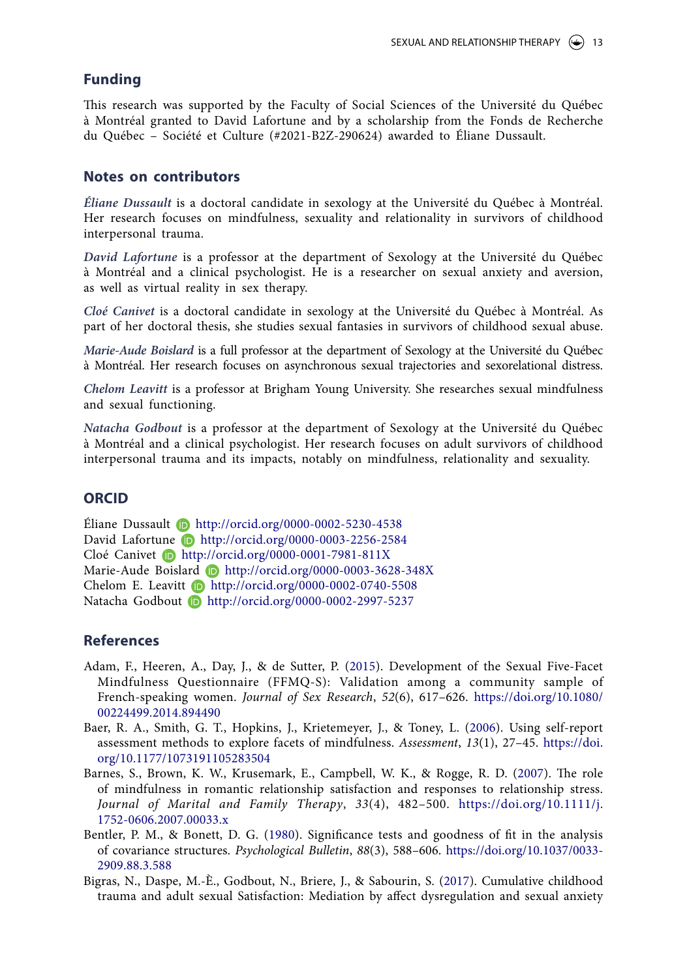### **Funding**

This research was supported by the Faculty of Social Sciences of the Université du Québec à Montréal granted to David Lafortune and by a scholarship from the Fonds de Recherche du Québec – Société et Culture (#2021-B2Z-290624) awarded to Éliane Dussault.

#### **Notes on contributors**

*Éliane Dussault* is a doctoral candidate in sexology at the Université du Québec à Montréal. Her research focuses on mindfulness, sexuality and relationality in survivors of childhood interpersonal trauma.

*David Lafortune* is a professor at the department of Sexology at the Université du Québec à Montréal and a clinical psychologist. He is a researcher on sexual anxiety and aversion, as well as virtual reality in sex therapy.

*Cloé Canivet* is a doctoral candidate in sexology at the Université du Québec à Montréal. As part of her doctoral thesis, she studies sexual fantasies in survivors of childhood sexual abuse.

*Marie-Aude Boislard* is a full professor at the department of Sexology at the Université du Québec à Montréal. Her research focuses on asynchronous sexual trajectories and sexorelational distress.

*Chelom Leavitt* is a professor at Brigham Young University. She researches sexual mindfulness and sexual functioning.

*Natacha Godbout* is a professor at the department of Sexology at the Université du Québec à Montréal and a clinical psychologist. Her research focuses on adult survivors of childhood interpersonal trauma and its impacts, notably on mindfulness, relationality and sexuality.

#### **ORCID**

Éliane Dussault  $\bullet$  <http://orcid.org/0000-0002-5230-4538> David Lafortune **h**ttp://orcid.org/0000-0003-2256-2584 Cloé Canivet **b** <http://orcid.org/0000-0001-7981-811X> Marie-Aude Boislard **<http://orcid.org/0000-0003-3628-348X>** Chelom E. Leavitt **b** <http://orcid.org/0000-0002-0740-5508> Natacha Godbout **b** <http://orcid.org/0000-0002-2997-5237>

#### **References**

- <span id="page-13-5"></span><span id="page-13-1"></span>Adam, F., Heeren, A., Day, J., & de Sutter, P. ([2015\)](#page-1-2). Development of the Sexual Five-Facet Mindfulness Questionnaire (FFMQ-S): Validation among a community sample of French-speaking women. *Journal of Sex Research*, *52*(6), 617–626. [https://doi.org/10.1080/](https://doi.org/10.1080/00224499.2014.894490) [00224499.2014.894490](https://doi.org/10.1080/00224499.2014.894490)
- <span id="page-13-4"></span><span id="page-13-3"></span>Baer, R. A., Smith, G. T., Hopkins, J., Krietemeyer, J., & Toney, L. [\(2006](#page-2-0)). Using self-report assessment methods to explore facets of mindfulness. *Assessment*, *13*(1), 27–45. [https://doi.](https://doi.org/10.1177/1073191105283504) [org/10.1177/1073191105283504](https://doi.org/10.1177/1073191105283504)
- <span id="page-13-2"></span><span id="page-13-0"></span>Barnes, S., Brown, K. W., Krusemark, E., Campbell, W. K., & Rogge, R. D. ([2007\)](#page-1-3). The role of mindfulness in romantic relationship satisfaction and responses to relationship stress. *Journal of Marital and Family Therapy*, *33*(4), 482–500. <https://doi.org/10.1111/j.> [1752-0606.2007.00033.x](https://doi.org/10.1111/j.)
- <span id="page-13-6"></span>Bentler, P. M., & Bonett, D. G. ([1980\)](#page-7-0). Significance tests and goodness of fit in the analysis of covariance structures. *Psychological Bulletin*, *88*(3), 588–606. <https://doi.org/10.1037/0033-> [2909.88.3.588](https://doi.org/10.1037/0033-)
- <span id="page-13-7"></span>Bigras, N., Daspe, M.-È., Godbout, N., Briere, J., & Sabourin, S. ([2017](#page-11-0)). Cumulative childhood trauma and adult sexual Satisfaction: Mediation by affect dysregulation and sexual anxiety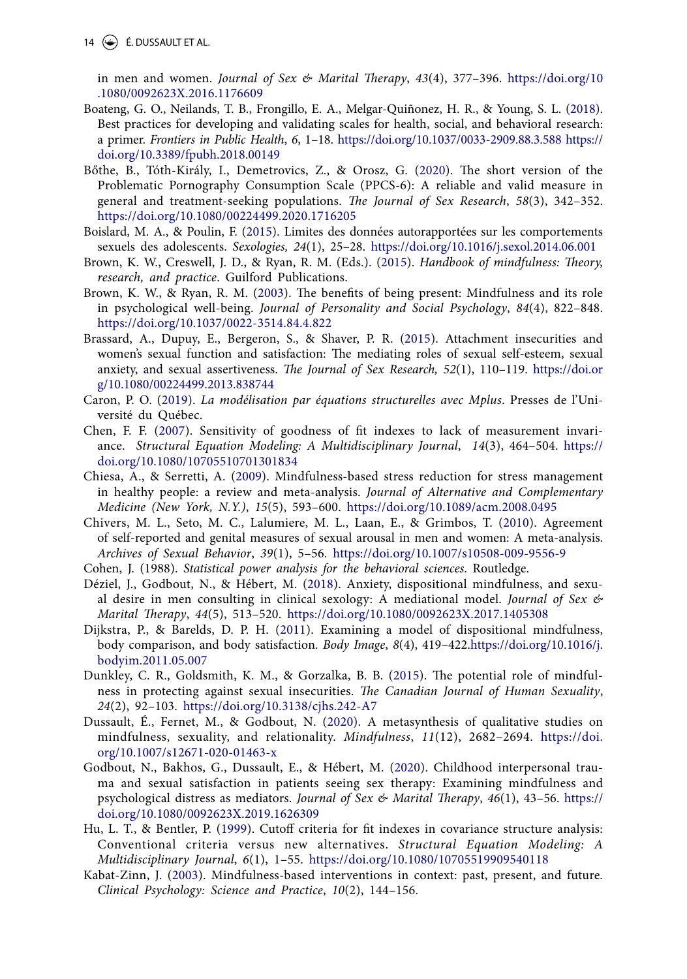14  $\left(\bigstar\right)$  É. DUSSAULT ET AL.

<span id="page-14-13"></span><span id="page-14-5"></span>in men and women. *Journal of Sex & Marital Therapy*, *43*(4), 377–396. [https://doi.org/10](https://doi.org/10.1080/0092623X.2016.1176609) [.1080/0092623X.2016.1176609](https://doi.org/10.1080/0092623X.2016.1176609)

- <span id="page-14-17"></span>Boateng, G. O., Neilands, T. B., Frongillo, E. A., Melgar-Quiñonez, H. R., & Young, S. L. ([2018\)](#page-5-0). Best practices for developing and validating scales for health, social, and behavioral research: a primer. *Frontiers in Public Health*, *6*, 1–18. <https://doi.org/10.1037/0033-2909.88.3.588> [https://](https://doi.org/10.3389/fpubh.2018.00149) [doi.org/10.3389/fpubh.2018.00149](https://doi.org/10.3389/fpubh.2018.00149)
- <span id="page-14-18"></span>Bőthe, B., Tóth-Király, I., Demetrovics, Z., & Orosz, G. [\(2020\)](#page-3-0). The short version of the Problematic Pornography Consumption Scale (PPCS-6): A reliable and valid measure in general and treatment-seeking populations. *The Journal of Sex Research*, *58*(3), 342–352. <https://doi.org/10.1080/00224499.2020.1716205>
- <span id="page-14-25"></span><span id="page-14-20"></span>Boislard, M. A., & Poulin, F. [\(2015\)](#page-7-1). Limites des données autorapportées sur les comportements sexuels des adolescents. *Sexologies, 24*(1), 25–28. [https://doi.org/10.1016/j.sexol.2014.06.001](https://doi.org/10.1080/10705519909540118)
- <span id="page-14-21"></span><span id="page-14-0"></span>Brown, K. W., Creswell, J. D., & Ryan, R. M. (Eds.). ([2015](#page-1-4)). *Handbook of mindfulness: Theory, research, and practice*. Guilford Publications.
- <span id="page-14-6"></span><span id="page-14-3"></span>Brown, K. W., & Ryan, R. M. [\(2003\)](#page-2-1). The benefits of being present: Mindfulness and its role in psychological well-being. *Journal of Personality and Social Psychology*, *84*(4), 822–848. <https://doi.org/10.1037/0022-3514.84.4.822>
- <span id="page-14-14"></span>Brassard, A., Dupuy, E., Bergeron, S., & Shaver, P. R. ([2015\)](#page-6-0). Attachment insecurities and women's sexual function and satisfaction: The mediating roles of sexual self-esteem, sexual anxiety, and sexual assertiveness. *The Journal of Sex Research, 52*(1), 110–119. [https://doi.or](https://doi.org/10.1016/j.bodyim.2011.12.002) [g/10.1080/00224499.2013.838744](https://doi.org/10.1016/j.bodyim.2011.12.002)
- <span id="page-14-16"></span>Caron, P. O. [\(2019\)](#page-7-2). *La modélisation par équations structurelles avec Mplus*. Presses de l'Université du Québec.
- <span id="page-14-19"></span>Chen, F. F. [\(2007\)](#page-7-3). Sensitivity of goodness of fit indexes to lack of measurement invariance. *Structural Equation Modeling: A Multidisciplinary Journal*, *14*(3), 464–504. [https://](https://doi.org/10.1080/10705510701301834) [doi.org/10.1080/10705510701301834](https://doi.org/10.1080/10705510701301834)
- <span id="page-14-24"></span><span id="page-14-12"></span>Chiesa, A., & Serretti, A. [\(2009](#page-4-0)). Mindfulness-based stress reduction for stress management in healthy people: a review and meta-analysis. *Journal of Alternative and Complementary Medicine (New York, N.Y.)*, *15*(5), 593–600. <https://doi.org/10.1089/acm.2008.0495>
- <span id="page-14-23"></span><span id="page-14-11"></span>Chivers, M. L., Seto, M. C., Lalumiere, M. L., Laan, E., & Grimbos, T. ([2010](#page-4-1)). Agreement of self-reported and genital measures of sexual arousal in men and women: A meta-analysis. *Archives of Sexual Behavior*, *39*(1), 5–56. <https://doi.org/10.1007/s10508-009-9556-9>
- Cohen, J. (1988). *Statistical power analysis for the behavioral sciences*. Routledge.
- <span id="page-14-9"></span><span id="page-14-7"></span>Déziel, J., Godbout, N., & Hébert, M. ([2018\)](#page-3-1). Anxiety, dispositional mindfulness, and sexual desire in men consulting in clinical sexology: A mediational model. *Journal of Sex & Marital Therapy*, *44*(5), 513–520. <https://doi.org/10.1080/0092623X.2017.1405308>
- <span id="page-14-10"></span>Dijkstra, P., & Barelds, D. P. H. [\(2011\)](#page-4-2). Examining a model of dispositional mindfulness, body comparison, and body satisfaction. *Body Image*, *8*(4), 419–422.[https://doi.org/10.1016/j.](https://doi.org/10.1016/j.bodyim.2011.05.007) [bodyim.2011.05.007](https://doi.org/10.1016/j.bodyim.2011.05.007)
- <span id="page-14-22"></span>Dunkley, C. R., Goldsmith, K. M., & Gorzalka, B. B. ([2015](#page-11-1)). The potential role of mindfulness in protecting against sexual insecurities. *The Canadian Journal of Human Sexuality*, *24*(2), 92–103. <https://doi.org/10.3138/cjhs.242-A7>
- <span id="page-14-26"></span><span id="page-14-4"></span>Dussault, É., Fernet, M., & Godbout, N. ([2020\)](#page-2-2). A metasynthesis of qualitative studies on mindfulness, sexuality, and relationality. *Mindfulness*, *11*(12), 2682–2694. [https://doi.](https://doi.org/10.1007/s12671-020-01463-x) [org/10.1007/s12671-020-01463-x](https://doi.org/10.1007/s12671-020-01463-x)
- <span id="page-14-8"></span><span id="page-14-2"></span>Godbout, N., Bakhos, G., Dussault, E., & Hébert, M. [\(2020\)](#page-1-5). Childhood interpersonal trauma and sexual satisfaction in patients seeing sex therapy: Examining mindfulness and psychological distress as mediators. *Journal of Sex & Marital Therapy*, *46*(1), 43–56. [https://](https://doi.org/10.1080/0092623X.2019.1626309) [doi.org/10.1080/0092623X.2019.1626309](https://doi.org/10.1080/0092623X.2019.1626309)
- <span id="page-14-15"></span>Hu, L. T., & Bentler, P. ([1999\)](#page-7-4). Cutoff criteria for fit indexes in covariance structure analysis: Conventional criteria versus new alternatives. *Structural Equation Modeling: A Multidisciplinary Journal*, *6*(1), 1–55. <https://doi.org/10.1080/10705519909540118>
- <span id="page-14-1"></span>Kabat-Zinn, J. ([2003](#page-1-6)). Mindfulness-based interventions in context: past, present, and future. *Clinical Psychology: Science and Practice*, *10*(2), 144–156.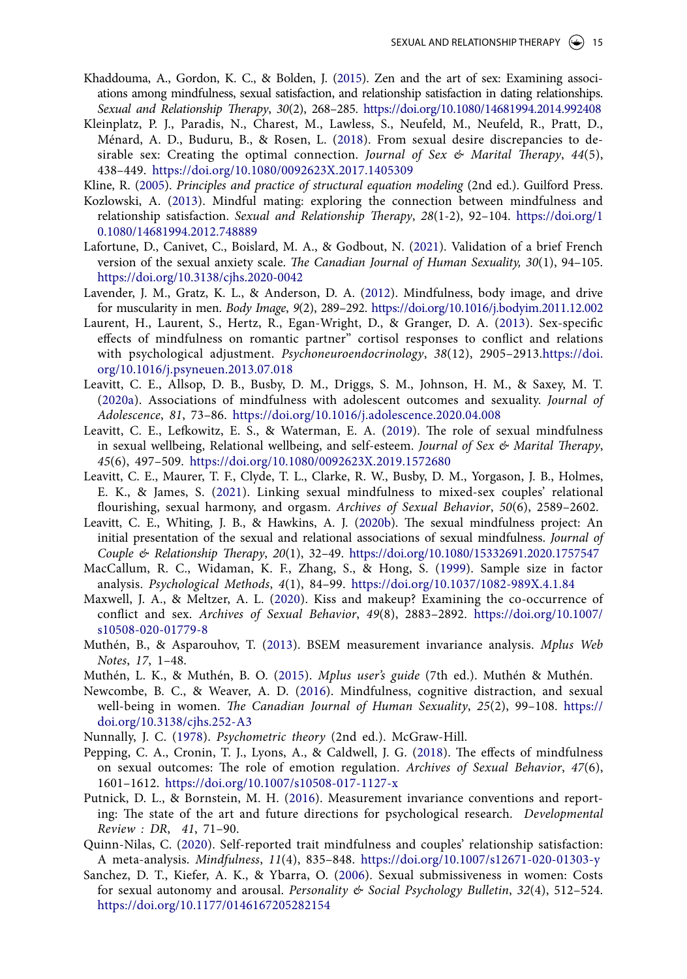- <span id="page-15-8"></span>Khaddouma, A., Gordon, K. C., & Bolden, J. [\(2015\)](#page-2-3). Zen and the art of sex: Examining associations among mindfulness, sexual satisfaction, and relationship satisfaction in dating relationships. *Sexual and Relationship Therapy*, *30*(2), 268–285. <https://doi.org/10.1080/14681994.2014.992408>
- <span id="page-15-6"></span>Kleinplatz, P. J., Paradis, N., Charest, M., Lawless, S., Neufeld, M., Neufeld, R., Pratt, D., Ménard, A. D., Buduru, B., & Rosen, L. [\(2018\)](#page-2-4). From sexual desire discrepancies to desirable sex: Creating the optimal connection. *Journal of Sex & Marital Therapy*, *44*(5), 438–449. <https://doi.org/10.1080/0092623X.2017.1405309>
- <span id="page-15-19"></span>Kline, R. [\(2005](#page-7-5)). *Principles and practice of structural equation modeling* (2nd ed.). Guilford Press.
- <span id="page-15-5"></span>Kozlowski, A. ([2013](#page-2-5)). Mindful mating: exploring the connection between mindfulness and relationship satisfaction. *Sexual and Relationship Therapy*, *28*(1-2), 92–104. [https://doi.org/1](https://doi.org/﻿10.1080/14681994.2012.748889) [0.1080/14681994.2012.748889](https://doi.org/﻿10.1080/14681994.2012.748889)
- <span id="page-15-26"></span><span id="page-15-16"></span>Lafortune, D., Canivet, C., Boislard, M. A., & Godbout, N. [\(2021\)](#page-5-1). Validation of a brief French version of the sexual anxiety scale. *The Canadian Journal of Human Sexuality, 30*(1), 94–105. [https://doi.org/10.3138/cjhs.2020-0042](https://doi.org/10.1016/j.bodyim.2011.12.002)
- <span id="page-15-13"></span>Lavender, J. M., Gratz, K. L., & Anderson, D. A. [\(2012\)](#page-4-3). Mindfulness, body image, and drive for muscularity in men. *Body Image*, *9*(2), 289–292. <https://doi.org/10.1016/j.bodyim.2011.12.002>
- <span id="page-15-1"></span>Laurent, H., Laurent, S., Hertz, R., Egan-Wright, D., & Granger, D. A. ([2013](#page-2-6)). Sex-specific effects of mindfulness on romantic partner'' cortisol responses to conflict and relations with psychological adjustment. *Psychoneuroendocrinology*, *38*(12), 2905–2913.[https://doi.](https://doi.org/10.1016/j.psyneuen.2013.07.018) [org/10.1016/j.psyneuen.2013.07.018](https://doi.org/10.1016/j.psyneuen.2013.07.018)
- <span id="page-15-24"></span><span id="page-15-10"></span>Leavitt, C. E., Allsop, D. B., Busby, D. M., Driggs, S. M., Johnson, H. M., & Saxey, M. T. [\(2020a](#page-3-2)). Associations of mindfulness with adolescent outcomes and sexuality. *Journal of Adolescence*, *81*, 73–86. <https://doi.org/10.1016/j.adolescence.2020.04.008>
- <span id="page-15-27"></span><span id="page-15-0"></span>Leavitt, C. E., Lefkowitz, E. S., & Waterman, E. A. ([2019](#page-1-7)). The role of sexual mindfulness in sexual wellbeing, Relational wellbeing, and self-esteem. *Journal of Sex & Marital Therapy*, *45*(6), 497–509. <https://doi.org/10.1080/0092623X.2019.1572680>
- <span id="page-15-3"></span>Leavitt, C. E., Maurer, T. F., Clyde, T. L., Clarke, R. W., Busby, D. M., Yorgason, J. B., Holmes, E. K., & James, S. [\(2021](#page-2-7)). Linking sexual mindfulness to mixed-sex couples' relational flourishing, sexual harmony, and orgasm. *Archives of Sexual Behavior*, *50*(6), 2589–2602.
- <span id="page-15-11"></span><span id="page-15-7"></span>Leavitt, C. E., Whiting, J. B., & Hawkins, A. J. ([2020b\)](#page-2-8). The sexual mindfulness project: An initial presentation of the sexual and relational associations of sexual mindfulness. *Journal of Couple & Relationship Therapy*, *20*(1), 32–49. <https://doi.org/10.1080/15332691.2020.1757547>
- <span id="page-15-15"></span>MacCallum, R. C., Widaman, K. F., Zhang, S., & Hong, S. ([1999\)](#page-5-2). Sample size in factor analysis. *Psychological Methods*, *4*(1), 84–99. <https://doi.org/10.1037/1082-989X.4.1.84>
- <span id="page-15-2"></span>Maxwell, J. A., & Meltzer, A. L. [\(2020\)](#page-2-9). Kiss and makeup? Examining the co-occurrence of conflict and sex. *Archives of Sexual Behavior*, *49*(8), 2883–2892. [https://doi.org/10.1007/](https://doi.org/10.1007/s10508-020-01779-8) [s10508-020-01779-8](https://doi.org/10.1007/s10508-020-01779-8)
- <span id="page-15-21"></span>Muthén, B., & Asparouhov, T. ([2013](#page-7-6)). BSEM measurement invariance analysis. *Mplus Web Notes*, *17*, 1–48.
- <span id="page-15-20"></span><span id="page-15-18"></span><span id="page-15-12"></span>Muthén, L. K., & Muthén, B. O. ([2015\)](#page-7-7). *Mplus user's guide* (7th ed.). Muthén & Muthén.
- <span id="page-15-23"></span>Newcombe, B. C., & Weaver, A. D. ([2016](#page-3-3)). Mindfulness, cognitive distraction, and sexual well-being in women. *The Canadian Journal of Human Sexuality*, *25*(2), 99–108. [https://](https://doi.org/10.3138/cjhs.252-A3) [doi.org/10.3138/cjhs.252-A3](https://doi.org/10.3138/cjhs.252-A3)
- <span id="page-15-17"></span>Nunnally, J. C. ([1978\)](#page-7-8). *Psychometric theory* (2nd ed.). McGraw-Hill.
- <span id="page-15-9"></span>Pepping, C. A., Cronin, T. J., Lyons, A., & Caldwell, J. G. ([2018](#page-2-10)). The effects of mindfulness on sexual outcomes: The role of emotion regulation. *Archives of Sexual Behavior*, *47*(6), 1601–1612. <https://doi.org/10.1007/s10508-017-1127-x>
- <span id="page-15-22"></span>Putnick, D. L., & Bornstein, M. H. ([2016](#page-7-9)). Measurement invariance conventions and reporting: The state of the art and future directions for psychological research. *Developmental Review : DR*, *41*, 71–90.
- <span id="page-15-4"></span>Quinn-Nilas, C. [\(2020](#page-2-11)). Self-reported trait mindfulness and couples' relationship satisfaction: A meta-analysis. *Mindfulness*, *11*(4), 835–848. <https://doi.org/10.1007/s12671-020-01303-y>
- <span id="page-15-25"></span><span id="page-15-14"></span>Sanchez, D. T., Kiefer, A. K., & Ybarra, O. [\(2006](#page-4-4)). Sexual submissiveness in women: Costs for sexual autonomy and arousal. *Personality & Social Psychology Bulletin*, *32*(4), 512–524. <https://doi.org/10.1177/0146167205282154>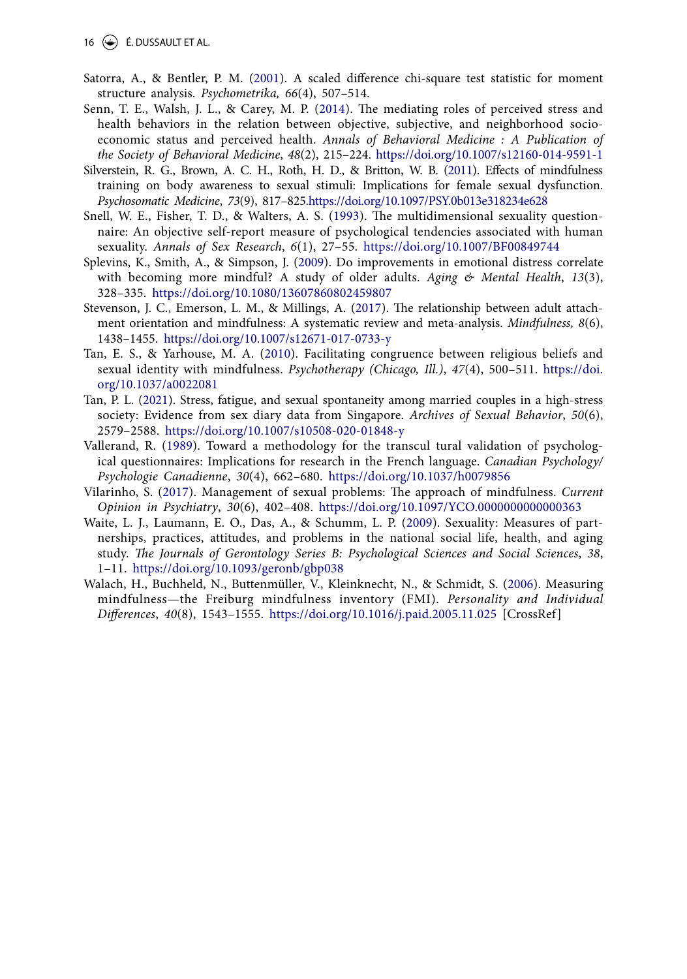16  $\left(\rightarrow\right)$  É. DUSSAULT ET AL.

- <span id="page-16-10"></span>Satorra, A., & Bentler, P. M. [\(2001\)](#page-7-10). A scaled difference chi-square test statistic for moment structure analysis. *Psychometrika, 66*(4), 507–514.
- <span id="page-16-13"></span><span id="page-16-7"></span>Senn, T. E., Walsh, J. L., & Carey, M. P. [\(2014\)](#page-4-5). The mediating roles of perceived stress and health behaviors in the relation between objective, subjective, and neighborhood socioeconomic status and perceived health. *Annals of Behavioral Medicine : A Publication of the Society of Behavioral Medicine*, *48*(2), 215–224. <https://doi.org/10.1007/s12160-014-9591-1>
- <span id="page-16-1"></span>Silverstein, R. G., Brown, A. C. H., Roth, H. D., & Britton, W. B. ([2011](#page-1-8)). Effects of mindfulness training on body awareness to sexual stimuli: Implications for female sexual dysfunction. *Psychosomatic Medicine*, *73*(9), 817–825.<https://doi.org/10.1097/PSY.0b013e318234e628>
- <span id="page-16-9"></span>Snell, W. E., Fisher, T. D., & Walters, A. S. ([1993](#page-6-1)). The multidimensional sexuality questionnaire: An objective self-report measure of psychological tendencies associated with human sexuality. *Annals of Sex Research*, *6*(1), 27–55. <https://doi.org/10.1007/BF00849744>
- <span id="page-16-12"></span><span id="page-16-6"></span>Splevins, K., Smith, A., & Simpson, J. [\(2009\)](#page-4-6). Do improvements in emotional distress correlate with becoming more mindful? A study of older adults. *Aging & Mental Health*, *13*(3), 328–335. <https://doi.org/10.1080/13607860802459807>
- <span id="page-16-0"></span>Stevenson, J. C., Emerson, L. M., & Millings, A. [\(2017\)](#page-1-9). The relationship between adult attachment orientation and mindfulness: A systematic review and meta-analysis. *Mindfulness, 8*(6), 1438–1455. [https://doi.org/10.1007/s12671-017-0733-y](https://doi.org/10.1016/j.bodyim.2011.12.002)
- <span id="page-16-4"></span>Tan, E. S., & Yarhouse, M. A. [\(2010\)](#page-3-4). Facilitating congruence between religious beliefs and sexual identity with mindfulness. *Psychotherapy (Chicago, Ill.)*, *47*(4), 500–511. [https://doi.](https://doi.org/10.1037/a0022081) [org/10.1037/a0022081](https://doi.org/10.1037/a0022081)
- <span id="page-16-2"></span>Tan, P. L. ([2021\)](#page-2-12). Stress, fatigue, and sexual spontaneity among married couples in a high-stress society: Evidence from sex diary data from Singapore. *Archives of Sexual Behavior*, *50*(6), 2579–2588. <https://doi.org/10.1007/s10508-020-01848-y>
- <span id="page-16-8"></span>Vallerand, R. ([1989](#page-6-2)). Toward a methodology for the transcul tural validation of psychological questionnaires: Implications for research in the French language. *Canadian Psychology/ Psychologie Canadienne*, *30*(4), 662–680. <https://doi.org/10.1037/h0079856>
- <span id="page-16-11"></span>Vilarinho, S. ([2017\)](#page-10-7). Management of sexual problems: The approach of mindfulness. *Current Opinion in Psychiatry*, *30*(6), 402–408. <https://doi.org/10.1097/YCO.0000000000000363>
- <span id="page-16-5"></span>Waite, L. J., Laumann, E. O., Das, A., & Schumm, L. P. ([2009\)](#page-4-7). Sexuality: Measures of partnerships, practices, attitudes, and problems in the national social life, health, and aging study. *The Journals of Gerontology Series B: Psychological Sciences and Social Sciences*, *38*, 1–11. <https://doi.org/10.1093/geronb/gbp038>
- <span id="page-16-3"></span>Walach, H., Buchheld, N., Buttenmüller, V., Kleinknecht, N., & Schmidt, S. ([2006](#page-2-13)). Measuring mindfulness—the Freiburg mindfulness inventory (FMI). *Personality and Individual Differences*, *40*(8), 1543–1555. <https://doi.org/10.1016/j.paid.2005.11.025>[CrossRef]